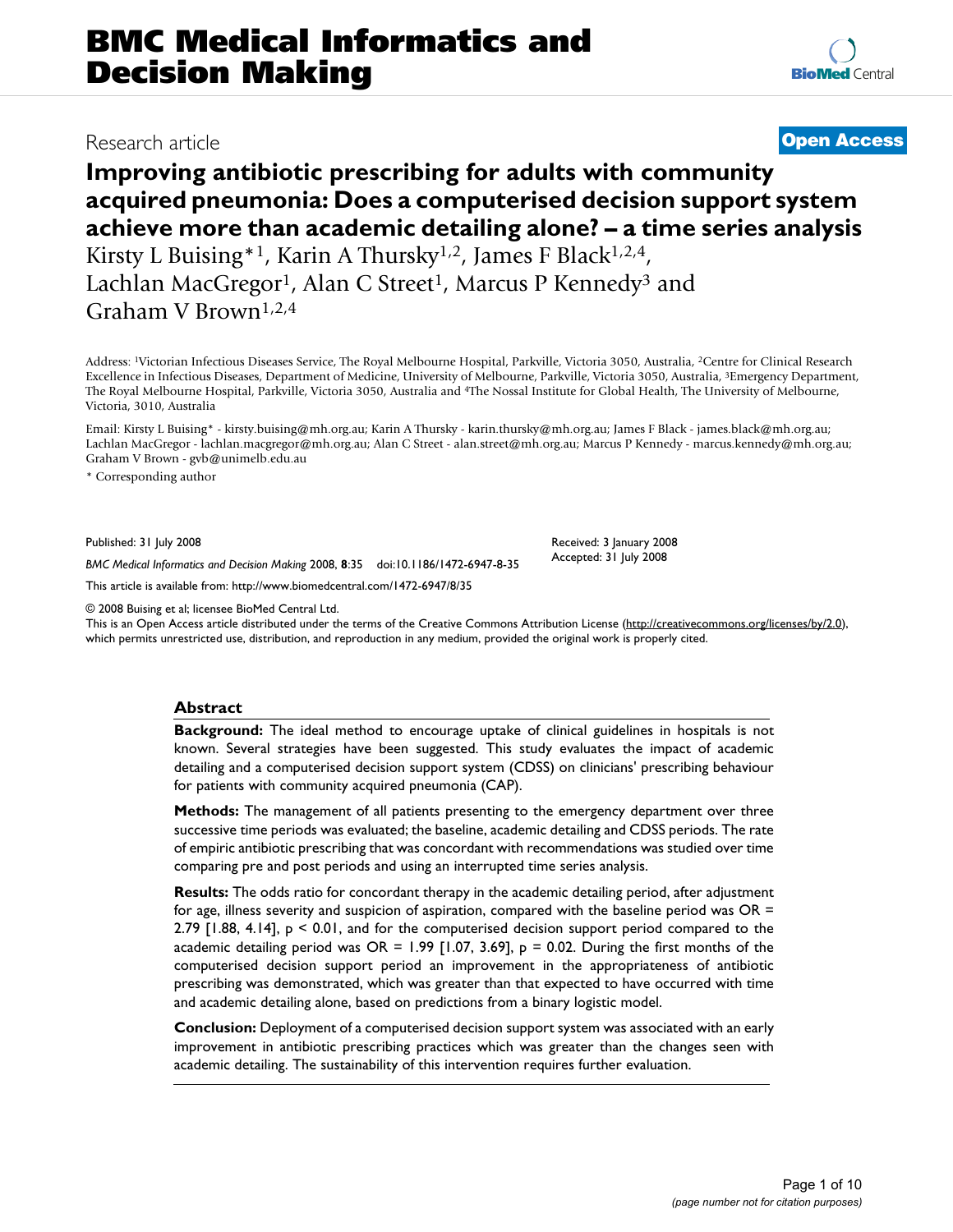# **Improving antibiotic prescribing for adults with community acquired pneumonia: Does a computerised decision support system achieve more than academic detailing alone? – a time series analysis**

Kirsty L Buising<sup>\*1</sup>, Karin A Thursky<sup>1,2</sup>, James F Black<sup>1,2,4</sup>, Lachlan MacGregor<sup>1</sup>, Alan C Street<sup>1</sup>, Marcus P Kennedy<sup>3</sup> and Graham V Brown1,2,4

Address: 1Victorian Infectious Diseases Service, The Royal Melbourne Hospital, Parkville, Victoria 3050, Australia, 2Centre for Clinical Research Excellence in Infectious Diseases, Department of Medicine, University of Melbourne, Parkville, Victoria 3050, Australia, 3Emergency Department, The Royal Melbourne Hospital, Parkville, Victoria 3050, Australia and 4The Nossal Institute for Global Health, The University of Melbourne, Victoria, 3010, Australia

Email: Kirsty L Buising\* - kirsty.buising@mh.org.au; Karin A Thursky - karin.thursky@mh.org.au; James F Black - james.black@mh.org.au; Lachlan MacGregor - lachlan.macgregor@mh.org.au; Alan C Street - alan.street@mh.org.au; Marcus P Kennedy - marcus.kennedy@mh.org.au; Graham V Brown - gvb@unimelb.edu.au

\* Corresponding author

Published: 31 July 2008

*BMC Medical Informatics and Decision Making* 2008, **8**:35 doi:10.1186/1472-6947-8-35

[This article is available from: http://www.biomedcentral.com/1472-6947/8/35](http://www.biomedcentral.com/1472-6947/8/35)

© 2008 Buising et al; licensee BioMed Central Ltd.

This is an Open Access article distributed under the terms of the Creative Commons Attribution License [\(http://creativecommons.org/licenses/by/2.0\)](http://creativecommons.org/licenses/by/2.0), which permits unrestricted use, distribution, and reproduction in any medium, provided the original work is properly cited.

# **Abstract**

**Background:** The ideal method to encourage uptake of clinical guidelines in hospitals is not known. Several strategies have been suggested. This study evaluates the impact of academic detailing and a computerised decision support system (CDSS) on clinicians' prescribing behaviour for patients with community acquired pneumonia (CAP).

**Methods:** The management of all patients presenting to the emergency department over three successive time periods was evaluated; the baseline, academic detailing and CDSS periods. The rate of empiric antibiotic prescribing that was concordant with recommendations was studied over time comparing pre and post periods and using an interrupted time series analysis.

**Results:** The odds ratio for concordant therapy in the academic detailing period, after adjustment for age, illness severity and suspicion of aspiration, compared with the baseline period was OR = 2.79 [1.88, 4.14], p < 0.01, and for the computerised decision support period compared to the academic detailing period was  $OR = 1.99$  [1.07, 3.69],  $p = 0.02$ . During the first months of the computerised decision support period an improvement in the appropriateness of antibiotic prescribing was demonstrated, which was greater than that expected to have occurred with time and academic detailing alone, based on predictions from a binary logistic model.

**Conclusion:** Deployment of a computerised decision support system was associated with an early improvement in antibiotic prescribing practices which was greater than the changes seen with academic detailing. The sustainability of this intervention requires further evaluation.

# Research article **[Open Access](http://www.biomedcentral.com/info/about/charter/)**

Received: 3 January 2008 Accepted: 31 July 2008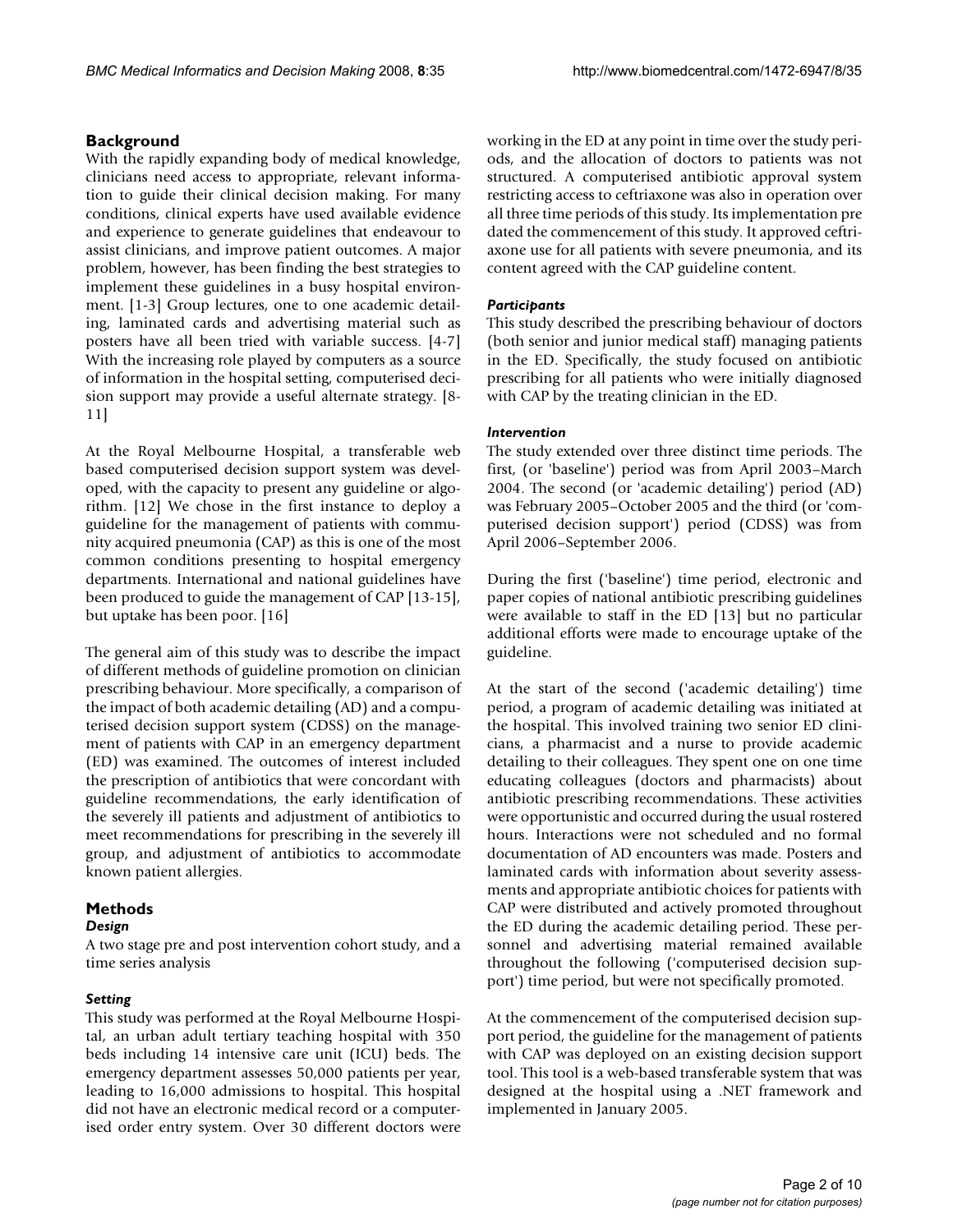# **Background**

With the rapidly expanding body of medical knowledge, clinicians need access to appropriate, relevant information to guide their clinical decision making. For many conditions, clinical experts have used available evidence and experience to generate guidelines that endeavour to assist clinicians, and improve patient outcomes. A major problem, however, has been finding the best strategies to implement these guidelines in a busy hospital environment. [1-3] Group lectures, one to one academic detailing, laminated cards and advertising material such as posters have all been tried with variable success. [4-7] With the increasing role played by computers as a source of information in the hospital setting, computerised decision support may provide a useful alternate strategy. [8- 11]

At the Royal Melbourne Hospital, a transferable web based computerised decision support system was developed, with the capacity to present any guideline or algorithm. [12] We chose in the first instance to deploy a guideline for the management of patients with community acquired pneumonia (CAP) as this is one of the most common conditions presenting to hospital emergency departments. International and national guidelines have been produced to guide the management of CAP [13-15], but uptake has been poor. [16]

The general aim of this study was to describe the impact of different methods of guideline promotion on clinician prescribing behaviour. More specifically, a comparison of the impact of both academic detailing (AD) and a computerised decision support system (CDSS) on the management of patients with CAP in an emergency department (ED) was examined. The outcomes of interest included the prescription of antibiotics that were concordant with guideline recommendations, the early identification of the severely ill patients and adjustment of antibiotics to meet recommendations for prescribing in the severely ill group, and adjustment of antibiotics to accommodate known patient allergies.

# **Methods**

# *Design*

A two stage pre and post intervention cohort study, and a time series analysis

# *Setting*

This study was performed at the Royal Melbourne Hospital, an urban adult tertiary teaching hospital with 350 beds including 14 intensive care unit (ICU) beds. The emergency department assesses 50,000 patients per year, leading to 16,000 admissions to hospital. This hospital did not have an electronic medical record or a computerised order entry system. Over 30 different doctors were working in the ED at any point in time over the study periods, and the allocation of doctors to patients was not structured. A computerised antibiotic approval system restricting access to ceftriaxone was also in operation over all three time periods of this study. Its implementation pre dated the commencement of this study. It approved ceftriaxone use for all patients with severe pneumonia, and its content agreed with the CAP guideline content.

# *Participants*

This study described the prescribing behaviour of doctors (both senior and junior medical staff) managing patients in the ED. Specifically, the study focused on antibiotic prescribing for all patients who were initially diagnosed with CAP by the treating clinician in the ED.

# *Intervention*

The study extended over three distinct time periods. The first, (or 'baseline') period was from April 2003–March 2004. The second (or 'academic detailing') period (AD) was February 2005–October 2005 and the third (or 'computerised decision support') period (CDSS) was from April 2006–September 2006.

During the first ('baseline') time period, electronic and paper copies of national antibiotic prescribing guidelines were available to staff in the ED [13] but no particular additional efforts were made to encourage uptake of the guideline.

At the start of the second ('academic detailing') time period, a program of academic detailing was initiated at the hospital. This involved training two senior ED clinicians, a pharmacist and a nurse to provide academic detailing to their colleagues. They spent one on one time educating colleagues (doctors and pharmacists) about antibiotic prescribing recommendations. These activities were opportunistic and occurred during the usual rostered hours. Interactions were not scheduled and no formal documentation of AD encounters was made. Posters and laminated cards with information about severity assessments and appropriate antibiotic choices for patients with CAP were distributed and actively promoted throughout the ED during the academic detailing period. These personnel and advertising material remained available throughout the following ('computerised decision support') time period, but were not specifically promoted.

At the commencement of the computerised decision support period, the guideline for the management of patients with CAP was deployed on an existing decision support tool. This tool is a web-based transferable system that was designed at the hospital using a .NET framework and implemented in January 2005.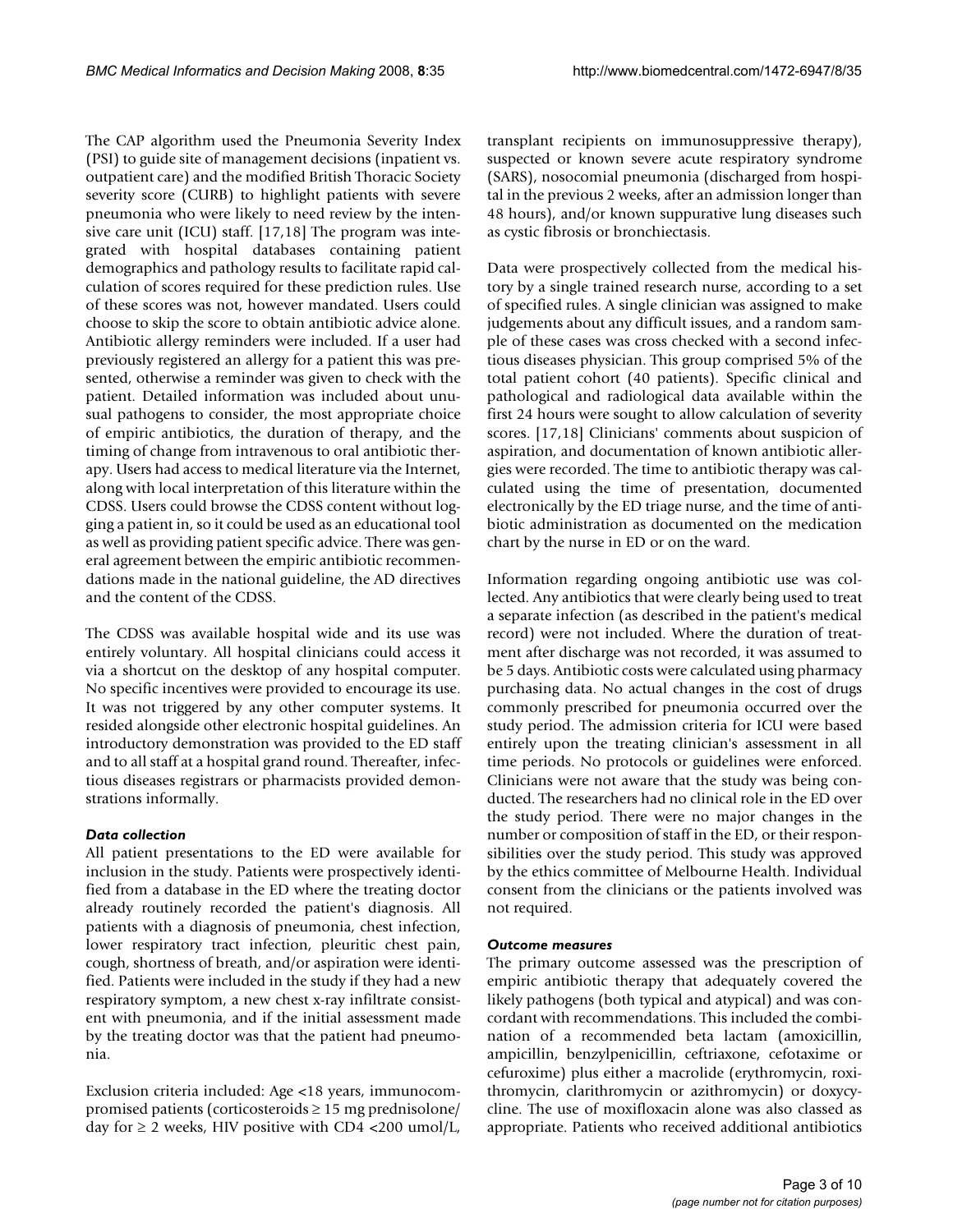The CAP algorithm used the Pneumonia Severity Index (PSI) to guide site of management decisions (inpatient vs. outpatient care) and the modified British Thoracic Society severity score (CURB) to highlight patients with severe pneumonia who were likely to need review by the intensive care unit (ICU) staff. [17,18] The program was integrated with hospital databases containing patient demographics and pathology results to facilitate rapid calculation of scores required for these prediction rules. Use of these scores was not, however mandated. Users could choose to skip the score to obtain antibiotic advice alone. Antibiotic allergy reminders were included. If a user had previously registered an allergy for a patient this was presented, otherwise a reminder was given to check with the patient. Detailed information was included about unusual pathogens to consider, the most appropriate choice of empiric antibiotics, the duration of therapy, and the timing of change from intravenous to oral antibiotic therapy. Users had access to medical literature via the Internet, along with local interpretation of this literature within the CDSS. Users could browse the CDSS content without logging a patient in, so it could be used as an educational tool as well as providing patient specific advice. There was general agreement between the empiric antibiotic recommendations made in the national guideline, the AD directives and the content of the CDSS.

The CDSS was available hospital wide and its use was entirely voluntary. All hospital clinicians could access it via a shortcut on the desktop of any hospital computer. No specific incentives were provided to encourage its use. It was not triggered by any other computer systems. It resided alongside other electronic hospital guidelines. An introductory demonstration was provided to the ED staff and to all staff at a hospital grand round. Thereafter, infectious diseases registrars or pharmacists provided demonstrations informally.

# *Data collection*

All patient presentations to the ED were available for inclusion in the study. Patients were prospectively identified from a database in the ED where the treating doctor already routinely recorded the patient's diagnosis. All patients with a diagnosis of pneumonia, chest infection, lower respiratory tract infection, pleuritic chest pain, cough, shortness of breath, and/or aspiration were identified. Patients were included in the study if they had a new respiratory symptom, a new chest x-ray infiltrate consistent with pneumonia, and if the initial assessment made by the treating doctor was that the patient had pneumonia.

Exclusion criteria included: Age <18 years, immunocompromised patients (corticosteroids ≥ 15 mg prednisolone/ day for  $\geq 2$  weeks, HIV positive with CD4 <200 umol/L,

transplant recipients on immunosuppressive therapy), suspected or known severe acute respiratory syndrome (SARS), nosocomial pneumonia (discharged from hospital in the previous 2 weeks, after an admission longer than 48 hours), and/or known suppurative lung diseases such as cystic fibrosis or bronchiectasis.

Data were prospectively collected from the medical history by a single trained research nurse, according to a set of specified rules. A single clinician was assigned to make judgements about any difficult issues, and a random sample of these cases was cross checked with a second infectious diseases physician. This group comprised 5% of the total patient cohort (40 patients). Specific clinical and pathological and radiological data available within the first 24 hours were sought to allow calculation of severity scores. [17,18] Clinicians' comments about suspicion of aspiration, and documentation of known antibiotic allergies were recorded. The time to antibiotic therapy was calculated using the time of presentation, documented electronically by the ED triage nurse, and the time of antibiotic administration as documented on the medication chart by the nurse in ED or on the ward.

Information regarding ongoing antibiotic use was collected. Any antibiotics that were clearly being used to treat a separate infection (as described in the patient's medical record) were not included. Where the duration of treatment after discharge was not recorded, it was assumed to be 5 days. Antibiotic costs were calculated using pharmacy purchasing data. No actual changes in the cost of drugs commonly prescribed for pneumonia occurred over the study period. The admission criteria for ICU were based entirely upon the treating clinician's assessment in all time periods. No protocols or guidelines were enforced. Clinicians were not aware that the study was being conducted. The researchers had no clinical role in the ED over the study period. There were no major changes in the number or composition of staff in the ED, or their responsibilities over the study period. This study was approved by the ethics committee of Melbourne Health. Individual consent from the clinicians or the patients involved was not required.

# *Outcome measures*

The primary outcome assessed was the prescription of empiric antibiotic therapy that adequately covered the likely pathogens (both typical and atypical) and was concordant with recommendations. This included the combination of a recommended beta lactam (amoxicillin, ampicillin, benzylpenicillin, ceftriaxone, cefotaxime or cefuroxime) plus either a macrolide (erythromycin, roxithromycin, clarithromycin or azithromycin) or doxycycline. The use of moxifloxacin alone was also classed as appropriate. Patients who received additional antibiotics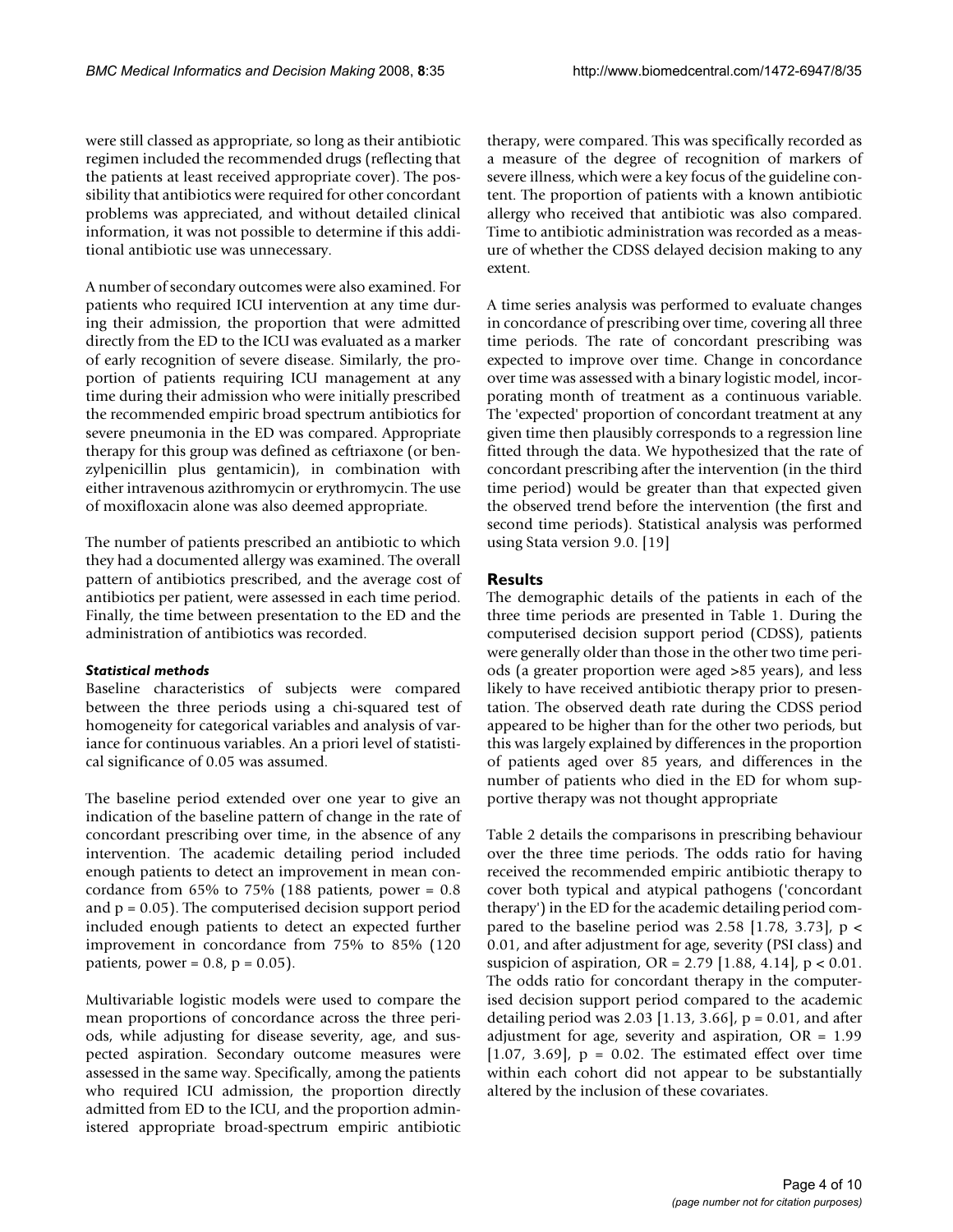were still classed as appropriate, so long as their antibiotic regimen included the recommended drugs (reflecting that the patients at least received appropriate cover). The possibility that antibiotics were required for other concordant problems was appreciated, and without detailed clinical information, it was not possible to determine if this additional antibiotic use was unnecessary.

A number of secondary outcomes were also examined. For patients who required ICU intervention at any time during their admission, the proportion that were admitted directly from the ED to the ICU was evaluated as a marker of early recognition of severe disease. Similarly, the proportion of patients requiring ICU management at any time during their admission who were initially prescribed the recommended empiric broad spectrum antibiotics for severe pneumonia in the ED was compared. Appropriate therapy for this group was defined as ceftriaxone (or benzylpenicillin plus gentamicin), in combination with either intravenous azithromycin or erythromycin. The use of moxifloxacin alone was also deemed appropriate.

The number of patients prescribed an antibiotic to which they had a documented allergy was examined. The overall pattern of antibiotics prescribed, and the average cost of antibiotics per patient, were assessed in each time period. Finally, the time between presentation to the ED and the administration of antibiotics was recorded.

# *Statistical methods*

Baseline characteristics of subjects were compared between the three periods using a chi-squared test of homogeneity for categorical variables and analysis of variance for continuous variables. An a priori level of statistical significance of 0.05 was assumed.

The baseline period extended over one year to give an indication of the baseline pattern of change in the rate of concordant prescribing over time, in the absence of any intervention. The academic detailing period included enough patients to detect an improvement in mean concordance from  $65\%$  to  $75\%$  (188 patients, power = 0.8 and  $p = 0.05$ ). The computerised decision support period included enough patients to detect an expected further improvement in concordance from 75% to 85% (120 patients, power =  $0.8$ , p =  $0.05$ ).

Multivariable logistic models were used to compare the mean proportions of concordance across the three periods, while adjusting for disease severity, age, and suspected aspiration. Secondary outcome measures were assessed in the same way. Specifically, among the patients who required ICU admission, the proportion directly admitted from ED to the ICU, and the proportion administered appropriate broad-spectrum empiric antibiotic therapy, were compared. This was specifically recorded as a measure of the degree of recognition of markers of severe illness, which were a key focus of the guideline content. The proportion of patients with a known antibiotic allergy who received that antibiotic was also compared. Time to antibiotic administration was recorded as a measure of whether the CDSS delayed decision making to any extent.

A time series analysis was performed to evaluate changes in concordance of prescribing over time, covering all three time periods. The rate of concordant prescribing was expected to improve over time. Change in concordance over time was assessed with a binary logistic model, incorporating month of treatment as a continuous variable. The 'expected' proportion of concordant treatment at any given time then plausibly corresponds to a regression line fitted through the data. We hypothesized that the rate of concordant prescribing after the intervention (in the third time period) would be greater than that expected given the observed trend before the intervention (the first and second time periods). Statistical analysis was performed using Stata version 9.0. [19]

# **Results**

The demographic details of the patients in each of the three time periods are presented in Table 1. During the computerised decision support period (CDSS), patients were generally older than those in the other two time periods (a greater proportion were aged >85 years), and less likely to have received antibiotic therapy prior to presentation. The observed death rate during the CDSS period appeared to be higher than for the other two periods, but this was largely explained by differences in the proportion of patients aged over 85 years, and differences in the number of patients who died in the ED for whom supportive therapy was not thought appropriate

Table 2 details the comparisons in prescribing behaviour over the three time periods. The odds ratio for having received the recommended empiric antibiotic therapy to cover both typical and atypical pathogens ('concordant therapy') in the ED for the academic detailing period compared to the baseline period was 2.58 [1.78, 3.73],  $p \lt \sqrt{ }$ 0.01, and after adjustment for age, severity (PSI class) and suspicion of aspiration, OR = 2.79 [1.88, 4.14], p < 0.01. The odds ratio for concordant therapy in the computerised decision support period compared to the academic detailing period was 2.03 [1.13, 3.66],  $p = 0.01$ , and after adjustment for age, severity and aspiration,  $OR = 1.99$  $[1.07, 3.69]$ ,  $p = 0.02$ . The estimated effect over time within each cohort did not appear to be substantially altered by the inclusion of these covariates.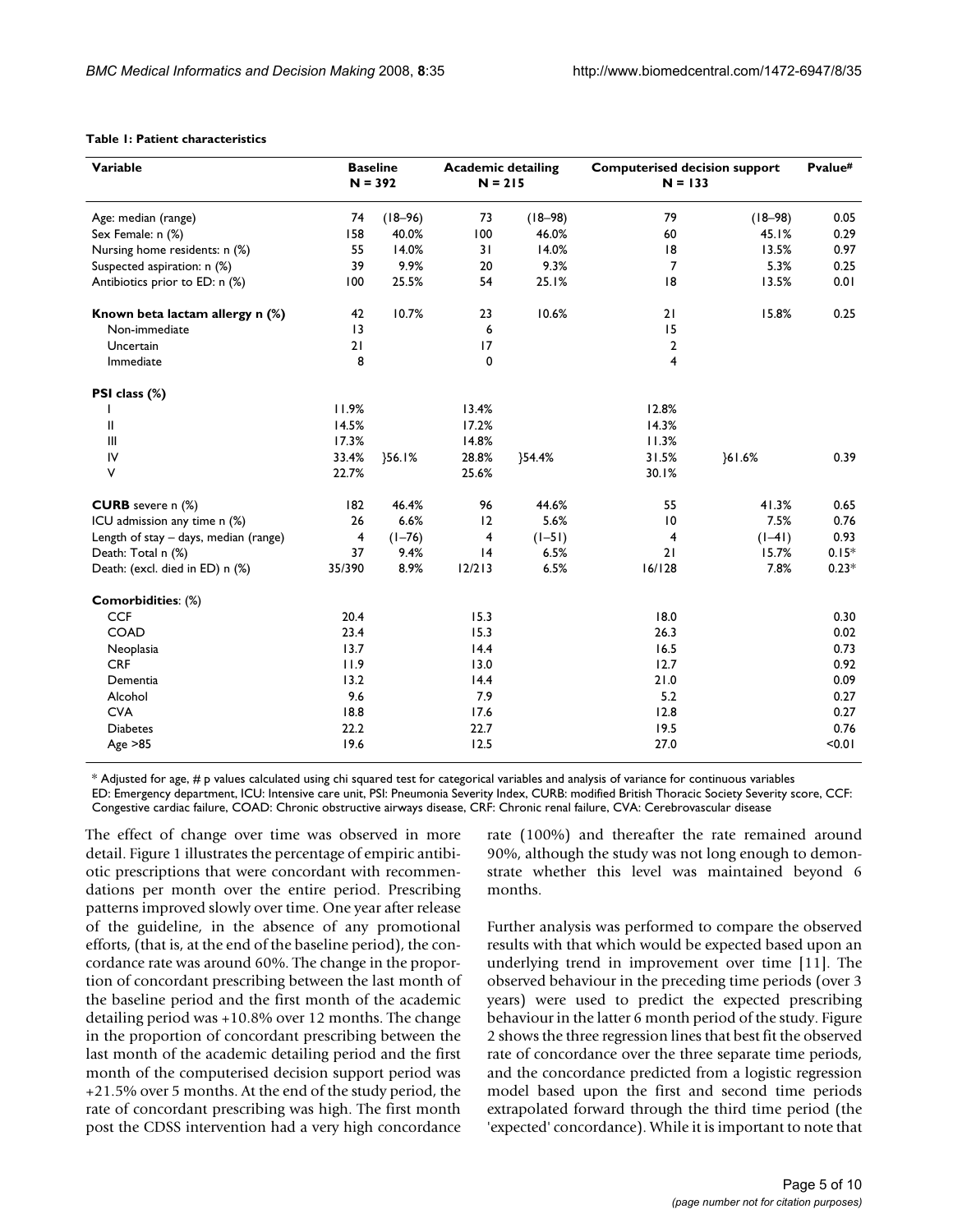#### **Table 1: Patient characteristics**

| Variable                              | <b>Baseline</b><br>$N = 392$ |            | <b>Academic detailing</b><br>$N = 215$ |             | <b>Computerised decision support</b><br>$N = 133$ |           | Pvalue# |
|---------------------------------------|------------------------------|------------|----------------------------------------|-------------|---------------------------------------------------|-----------|---------|
| Age: median (range)                   | 74                           | $(18-96)$  | 73                                     | $(18 - 98)$ | 79                                                | $(18-98)$ | 0.05    |
| Sex Female: n (%)                     | 158                          | 40.0%      | 100                                    | 46.0%       | 60                                                | 45.1%     | 0.29    |
| Nursing home residents: n (%)         | 55                           | 14.0%      | 31                                     | 14.0%       | 8                                                 | 13.5%     | 0.97    |
| Suspected aspiration: n (%)           | 39                           | 9.9%       | 20                                     | 9.3%        | $\overline{7}$                                    | 5.3%      | 0.25    |
| Antibiotics prior to ED: n (%)        | 100                          | 25.5%      | 54                                     | 25.1%       | 18                                                | 13.5%     | 0.01    |
| Known beta lactam allergy n (%)       | 42                           | 10.7%      | 23                                     | 10.6%       | 21                                                | 15.8%     | 0.25    |
| Non-immediate                         | 13                           |            | 6                                      |             | 15                                                |           |         |
| Uncertain                             | 21                           |            | 17                                     |             | $\overline{2}$                                    |           |         |
| Immediate                             | 8                            |            | 0                                      |             | 4                                                 |           |         |
| PSI class (%)                         |                              |            |                                        |             |                                                   |           |         |
|                                       | 11.9%                        |            | 13.4%                                  |             | 12.8%                                             |           |         |
| II                                    | 14.5%                        |            | 17.2%                                  |             | 14.3%                                             |           |         |
| $\mathbf{III}$                        | 17.3%                        |            | 14.8%                                  |             | 11.3%                                             |           |         |
| IV                                    | 33.4%                        | $}56.1%$   | 28.8%                                  | $}54.4%$    | 31.5%                                             | 81.6%     | 0.39    |
| $\vee$                                | 22.7%                        |            | 25.6%                                  |             | 30.1%                                             |           |         |
| <b>CURB</b> severe n (%)              | 182                          | 46.4%      | 96                                     | 44.6%       | 55                                                | 41.3%     | 0.65    |
| ICU admission any time n (%)          | 26                           | 6.6%       | 12                                     | 5.6%        | $\overline{10}$                                   | 7.5%      | 0.76    |
| Length of stay - days, median (range) | 4                            | $(1 - 76)$ | 4                                      | $(1-51)$    | 4                                                 | $(1-41)$  | 0.93    |
| Death: Total n (%)                    | 37                           | 9.4%       | 4                                      | 6.5%        | 21                                                | 15.7%     | $0.15*$ |
| Death: (excl. died in ED) n (%)       | 35/390                       | 8.9%       | 12/213                                 | 6.5%        | 16/128                                            | 7.8%      | $0.23*$ |
| Comorbidities: (%)                    |                              |            |                                        |             |                                                   |           |         |
| <b>CCF</b>                            | 20.4                         |            | 15.3                                   |             | 18.0                                              |           | 0.30    |
| COAD                                  | 23.4                         |            | 15.3                                   |             | 26.3                                              |           | 0.02    |
| Neoplasia                             | 13.7                         |            | 14.4                                   |             | 16.5                                              |           | 0.73    |
| <b>CRF</b>                            | 11.9                         |            | 13.0                                   |             | 12.7                                              |           | 0.92    |
| Dementia                              | 13.2                         |            | 14.4                                   |             | 21.0                                              |           | 0.09    |
| Alcohol                               | 9.6                          |            | 7.9                                    |             | 5.2                                               |           | 0.27    |
| <b>CVA</b>                            | 18.8                         |            | 17.6                                   |             | 12.8                                              |           | 0.27    |
| Diabetes                              | 22.2                         |            | 22.7                                   |             | 19.5                                              |           | 0.76    |
| Age $>85$                             | 19.6                         |            | 12.5                                   |             | 27.0                                              |           | 10.0    |

\* Adjusted for age, # p values calculated using chi squared test for categorical variables and analysis of variance for continuous variables ED: Emergency department, ICU: Intensive care unit, PSI: Pneumonia Severity Index, CURB: modified British Thoracic Society Severity score, CCF: Congestive cardiac failure, COAD: Chronic obstructive airways disease, CRF: Chronic renal failure, CVA: Cerebrovascular disease

The effect of change over time was observed in more detail. Figure 1 illustrates the percentage of empiric antibiotic prescriptions that were concordant with recommendations per month over the entire period. Prescribing patterns improved slowly over time. One year after release of the guideline, in the absence of any promotional efforts, (that is, at the end of the baseline period), the concordance rate was around 60%. The change in the proportion of concordant prescribing between the last month of the baseline period and the first month of the academic detailing period was +10.8% over 12 months. The change in the proportion of concordant prescribing between the last month of the academic detailing period and the first month of the computerised decision support period was +21.5% over 5 months. At the end of the study period, the rate of concordant prescribing was high. The first month post the CDSS intervention had a very high concordance

rate (100%) and thereafter the rate remained around 90%, although the study was not long enough to demonstrate whether this level was maintained beyond 6 months.

Further analysis was performed to compare the observed results with that which would be expected based upon an underlying trend in improvement over time [11]. The observed behaviour in the preceding time periods (over 3 years) were used to predict the expected prescribing behaviour in the latter 6 month period of the study. Figure 2 shows the three regression lines that best fit the observed rate of concordance over the three separate time periods, and the concordance predicted from a logistic regression model based upon the first and second time periods extrapolated forward through the third time period (the 'expected' concordance). While it is important to note that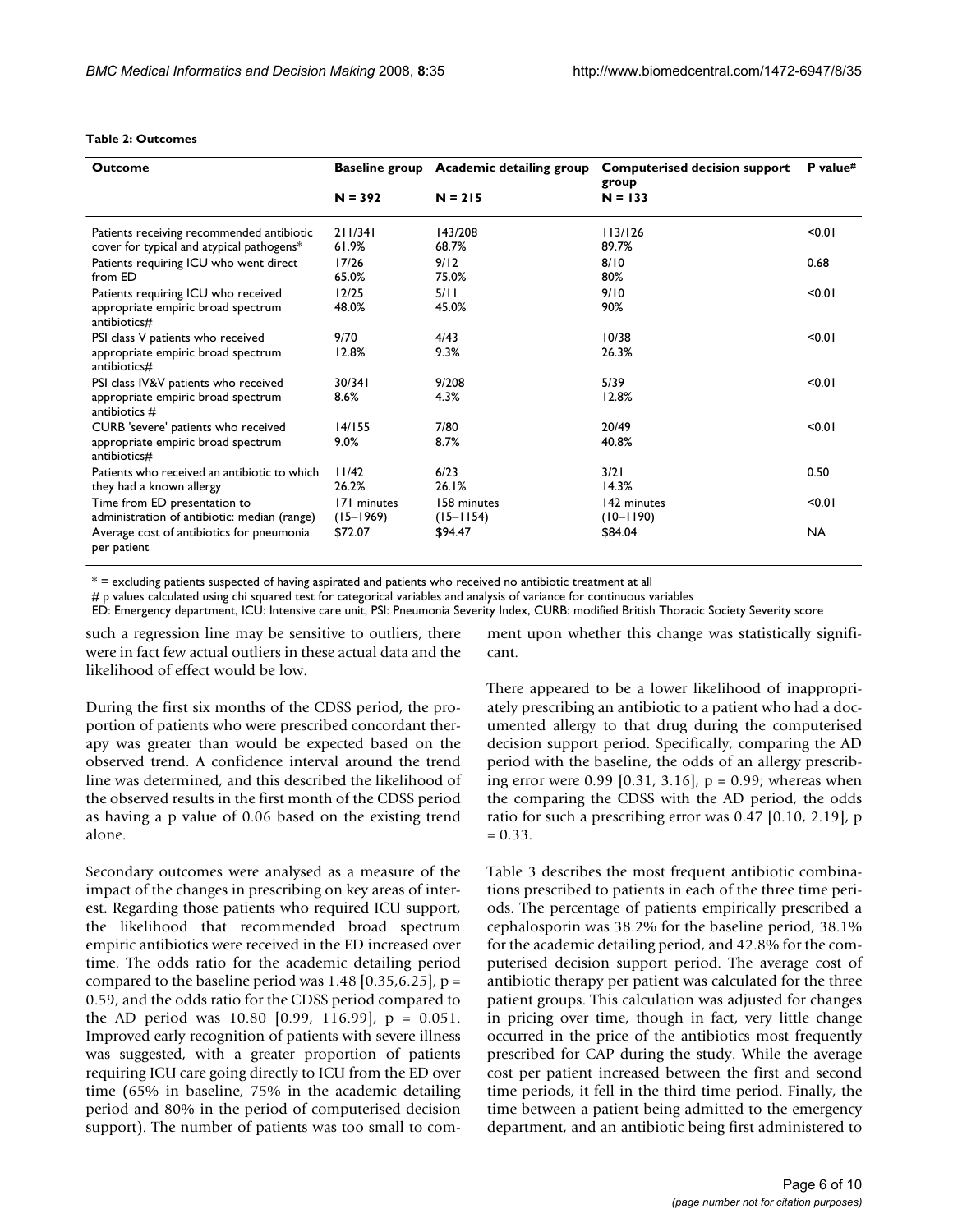| <b>Outcome</b>                                                                              |                              | Baseline group Academic detailing group | <b>Computerised decision support</b><br>group | $P$ value# |
|---------------------------------------------------------------------------------------------|------------------------------|-----------------------------------------|-----------------------------------------------|------------|
|                                                                                             | $N = 392$                    | $N = 215$                               | $N = 133$                                     |            |
| Patients receiving recommended antibiotic<br>cover for typical and atypical pathogens*      | 211/341<br>61.9%             | 143/208<br>68.7%                        | 113/126<br>89.7%                              | < 0.01     |
| Patients requiring ICU who went direct<br>from ED                                           | 17/26<br>65.0%               | 9/12<br>75.0%                           | 8/10<br>80%                                   | 0.68       |
| Patients requiring ICU who received<br>appropriate empiric broad spectrum<br>antibiotics#   | 12/25<br>48.0%               | 5/11<br>45.0%                           | 9/10<br>90%                                   | < 0.01     |
| PSI class V patients who received<br>appropriate empiric broad spectrum<br>antibiotics#     | 9/70<br>12.8%                | 4/43<br>9.3%                            | 10/38<br>26.3%                                | < 0.01     |
| PSI class IV&V patients who received<br>appropriate empiric broad spectrum<br>antibiotics # | 30/341<br>8.6%               | 9/208<br>4.3%                           | 5/39<br>12.8%                                 | < 0.01     |
| CURB 'severe' patients who received<br>appropriate empiric broad spectrum<br>antibiotics#   | 14/155<br>9.0%               | 7/80<br>8.7%                            | 20/49<br>40.8%                                | < 0.01     |
| Patients who received an antibiotic to which<br>they had a known allergy                    | 11/42<br>26.2%               | 6/23<br>26.1%                           | 3/21<br>14.3%                                 | 0.50       |
| Time from ED presentation to<br>administration of antibiotic: median (range)                | 171 minutes<br>$(15 - 1969)$ | 158 minutes<br>$(15 - 1154)$            | 142 minutes<br>$(10 - 1190)$                  | < 0.01     |
| Average cost of antibiotics for pneumonia<br>per patient                                    | \$72.07                      | \$94.47                                 | \$84.04                                       | <b>NA</b>  |

#### **Table 2: Outcomes**

\* = excluding patients suspected of having aspirated and patients who received no antibiotic treatment at all

# p values calculated using chi squared test for categorical variables and analysis of variance for continuous variables

ED: Emergency department, ICU: Intensive care unit, PSI: Pneumonia Severity Index, CURB: modified British Thoracic Society Severity score

cant.

such a regression line may be sensitive to outliers, there were in fact few actual outliers in these actual data and the likelihood of effect would be low.

There appeared to be a lower likelihood of inappropri-

During the first six months of the CDSS period, the proportion of patients who were prescribed concordant therapy was greater than would be expected based on the observed trend. A confidence interval around the trend line was determined, and this described the likelihood of the observed results in the first month of the CDSS period as having a p value of 0.06 based on the existing trend alone.

Secondary outcomes were analysed as a measure of the impact of the changes in prescribing on key areas of interest. Regarding those patients who required ICU support, the likelihood that recommended broad spectrum empiric antibiotics were received in the ED increased over time. The odds ratio for the academic detailing period compared to the baseline period was  $1.48$  [0.35,6.25], p = 0.59, and the odds ratio for the CDSS period compared to the AD period was 10.80 [0.99, 116.99], p = 0.051. Improved early recognition of patients with severe illness was suggested, with a greater proportion of patients requiring ICU care going directly to ICU from the ED over time (65% in baseline, 75% in the academic detailing period and 80% in the period of computerised decision support). The number of patients was too small to comately prescribing an antibiotic to a patient who had a documented allergy to that drug during the computerised decision support period. Specifically, comparing the AD period with the baseline, the odds of an allergy prescribing error were 0.99 [0.31, 3.16],  $p = 0.99$ ; whereas when the comparing the CDSS with the AD period, the odds ratio for such a prescribing error was 0.47 [0.10, 2.19], p  $= 0.33.$ 

ment upon whether this change was statistically signifi-

Table 3 describes the most frequent antibiotic combinations prescribed to patients in each of the three time periods. The percentage of patients empirically prescribed a cephalosporin was 38.2% for the baseline period, 38.1% for the academic detailing period, and 42.8% for the computerised decision support period. The average cost of antibiotic therapy per patient was calculated for the three patient groups. This calculation was adjusted for changes in pricing over time, though in fact, very little change occurred in the price of the antibiotics most frequently prescribed for CAP during the study. While the average cost per patient increased between the first and second time periods, it fell in the third time period. Finally, the time between a patient being admitted to the emergency department, and an antibiotic being first administered to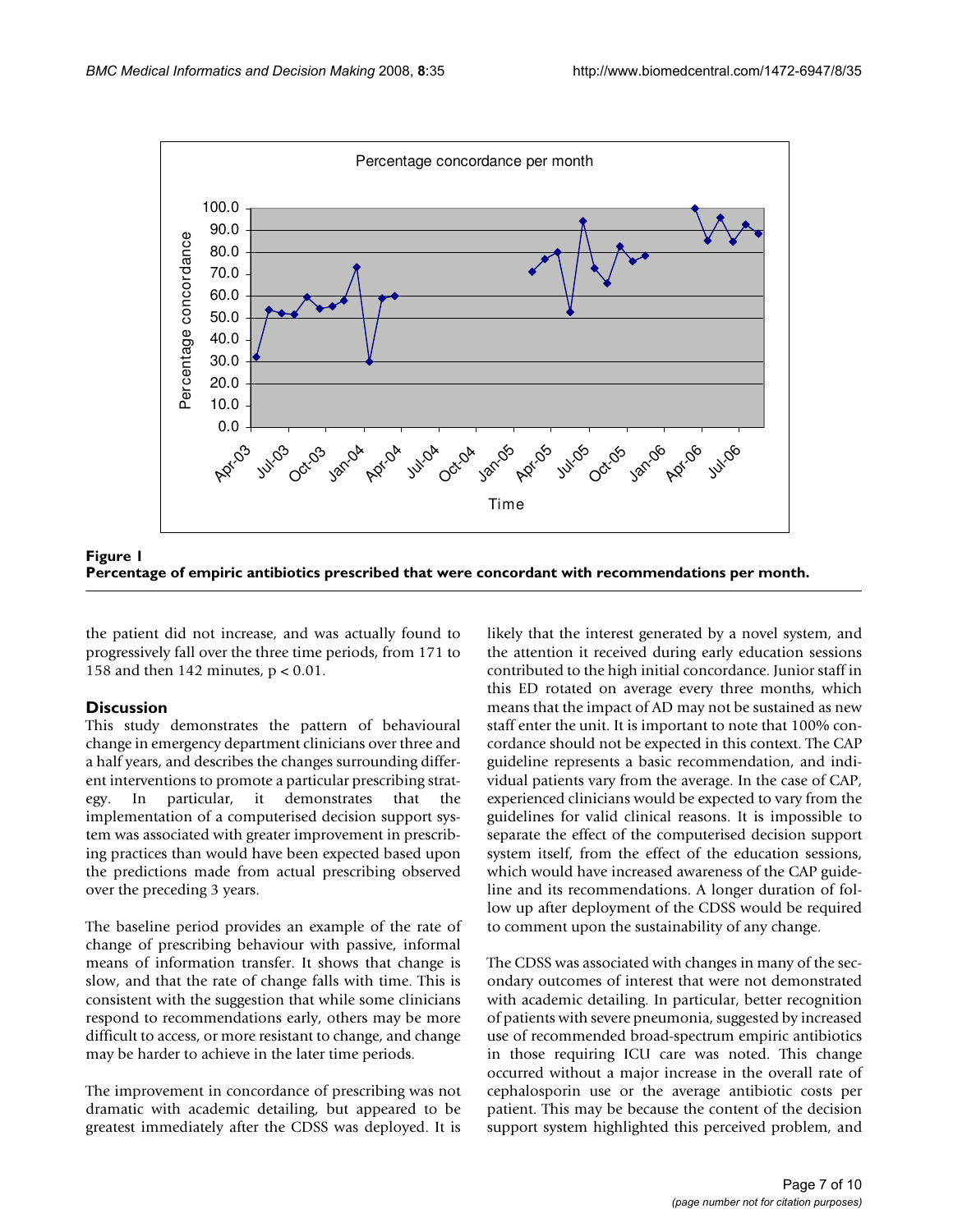



the patient did not increase, and was actually found to progressively fall over the three time periods, from 171 to 158 and then 142 minutes, p < 0.01.

# **Discussion**

This study demonstrates the pattern of behavioural change in emergency department clinicians over three and a half years, and describes the changes surrounding different interventions to promote a particular prescribing strategy. In particular, it demonstrates that the implementation of a computerised decision support system was associated with greater improvement in prescribing practices than would have been expected based upon the predictions made from actual prescribing observed over the preceding 3 years.

The baseline period provides an example of the rate of change of prescribing behaviour with passive, informal means of information transfer. It shows that change is slow, and that the rate of change falls with time. This is consistent with the suggestion that while some clinicians respond to recommendations early, others may be more difficult to access, or more resistant to change, and change may be harder to achieve in the later time periods.

The improvement in concordance of prescribing was not dramatic with academic detailing, but appeared to be greatest immediately after the CDSS was deployed. It is likely that the interest generated by a novel system, and the attention it received during early education sessions contributed to the high initial concordance. Junior staff in this ED rotated on average every three months, which means that the impact of AD may not be sustained as new staff enter the unit. It is important to note that 100% concordance should not be expected in this context. The CAP guideline represents a basic recommendation, and individual patients vary from the average. In the case of CAP, experienced clinicians would be expected to vary from the guidelines for valid clinical reasons. It is impossible to separate the effect of the computerised decision support system itself, from the effect of the education sessions, which would have increased awareness of the CAP guideline and its recommendations. A longer duration of follow up after deployment of the CDSS would be required to comment upon the sustainability of any change.

The CDSS was associated with changes in many of the secondary outcomes of interest that were not demonstrated with academic detailing. In particular, better recognition of patients with severe pneumonia, suggested by increased use of recommended broad-spectrum empiric antibiotics in those requiring ICU care was noted. This change occurred without a major increase in the overall rate of cephalosporin use or the average antibiotic costs per patient. This may be because the content of the decision support system highlighted this perceived problem, and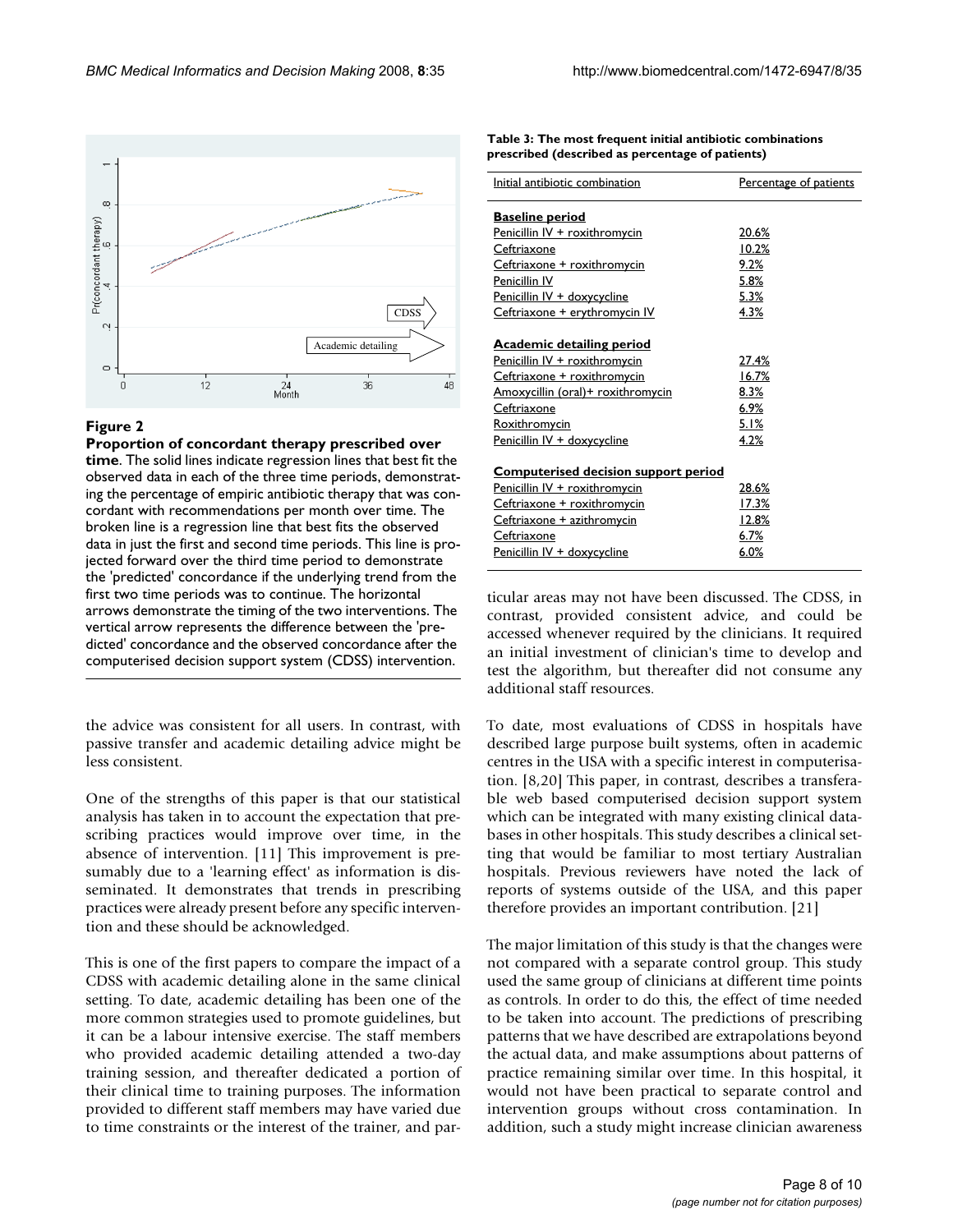

# **Figure 2**

**Proportion of concordant therapy prescribed over time**. The solid lines indicate regression lines that best fit the observed data in each of the three time periods, demonstrating the percentage of empiric antibiotic therapy that was concordant with recommendations per month over time. The broken line is a regression line that best fits the observed data in just the first and second time periods. This line is projected forward over the third time period to demonstrate the 'predicted' concordance if the underlying trend from the first two time periods was to continue. The horizontal arrows demonstrate the timing of the two interventions. The vertical arrow represents the difference between the 'predicted' concordance and the observed concordance after the computerised decision support system (CDSS) intervention.

the advice was consistent for all users. In contrast, with passive transfer and academic detailing advice might be less consistent.

One of the strengths of this paper is that our statistical analysis has taken in to account the expectation that prescribing practices would improve over time, in the absence of intervention. [11] This improvement is presumably due to a 'learning effect' as information is disseminated. It demonstrates that trends in prescribing practices were already present before any specific intervention and these should be acknowledged.

This is one of the first papers to compare the impact of a CDSS with academic detailing alone in the same clinical setting. To date, academic detailing has been one of the more common strategies used to promote guidelines, but it can be a labour intensive exercise. The staff members who provided academic detailing attended a two-day training session, and thereafter dedicated a portion of their clinical time to training purposes. The information provided to different staff members may have varied due to time constraints or the interest of the trainer, and par-

| Table 3: The most frequent initial antibiotic combinations |
|------------------------------------------------------------|
| prescribed (described as percentage of patients)           |

| <u>Baseline period</u>                                                                                                     |  |
|----------------------------------------------------------------------------------------------------------------------------|--|
| Penicillin IV + roxithromycin<br>20.6%                                                                                     |  |
| 10.2%<br>Ceftriaxone                                                                                                       |  |
| 9.2%<br>Ceftriaxone + roxithromycin                                                                                        |  |
| Penicillin IV<br>5.8%                                                                                                      |  |
| Penicillin IV + doxycycline<br>5.3%                                                                                        |  |
| 4.3%<br>Ceftriaxone + erythromycin IV                                                                                      |  |
| <b>Academic detailing period</b><br>Penicillin IV + roxithromycin<br>27.4%<br>16.7%<br><u> Ceftriaxone + roxithromycin</u> |  |
| 8.3%<br>Amoxycillin (oral)+ roxithromycin                                                                                  |  |
| 6.9%<br>Ceftriaxone<br>5.1%<br>Roxithromycin<br>Penicillin IV + doxycycline<br>4.2%                                        |  |
| <b>Computerised decision support period</b>                                                                                |  |
| Penicillin IV + roxithromycin<br>28.6%                                                                                     |  |
| 17.3%<br><u> Ceftriaxone + roxithromycin</u>                                                                               |  |
| 12.8%<br><u> Ceftriaxone + azithromycin</u>                                                                                |  |
| 6.7%<br>Ceftriaxone                                                                                                        |  |
| Penicillin IV + doxycycline<br>6.0%                                                                                        |  |

ticular areas may not have been discussed. The CDSS, in contrast, provided consistent advice, and could be accessed whenever required by the clinicians. It required an initial investment of clinician's time to develop and test the algorithm, but thereafter did not consume any additional staff resources.

To date, most evaluations of CDSS in hospitals have described large purpose built systems, often in academic centres in the USA with a specific interest in computerisation. [8,20] This paper, in contrast, describes a transferable web based computerised decision support system which can be integrated with many existing clinical databases in other hospitals. This study describes a clinical setting that would be familiar to most tertiary Australian hospitals. Previous reviewers have noted the lack of reports of systems outside of the USA, and this paper therefore provides an important contribution. [21]

The major limitation of this study is that the changes were not compared with a separate control group. This study used the same group of clinicians at different time points as controls. In order to do this, the effect of time needed to be taken into account. The predictions of prescribing patterns that we have described are extrapolations beyond the actual data, and make assumptions about patterns of practice remaining similar over time. In this hospital, it would not have been practical to separate control and intervention groups without cross contamination. In addition, such a study might increase clinician awareness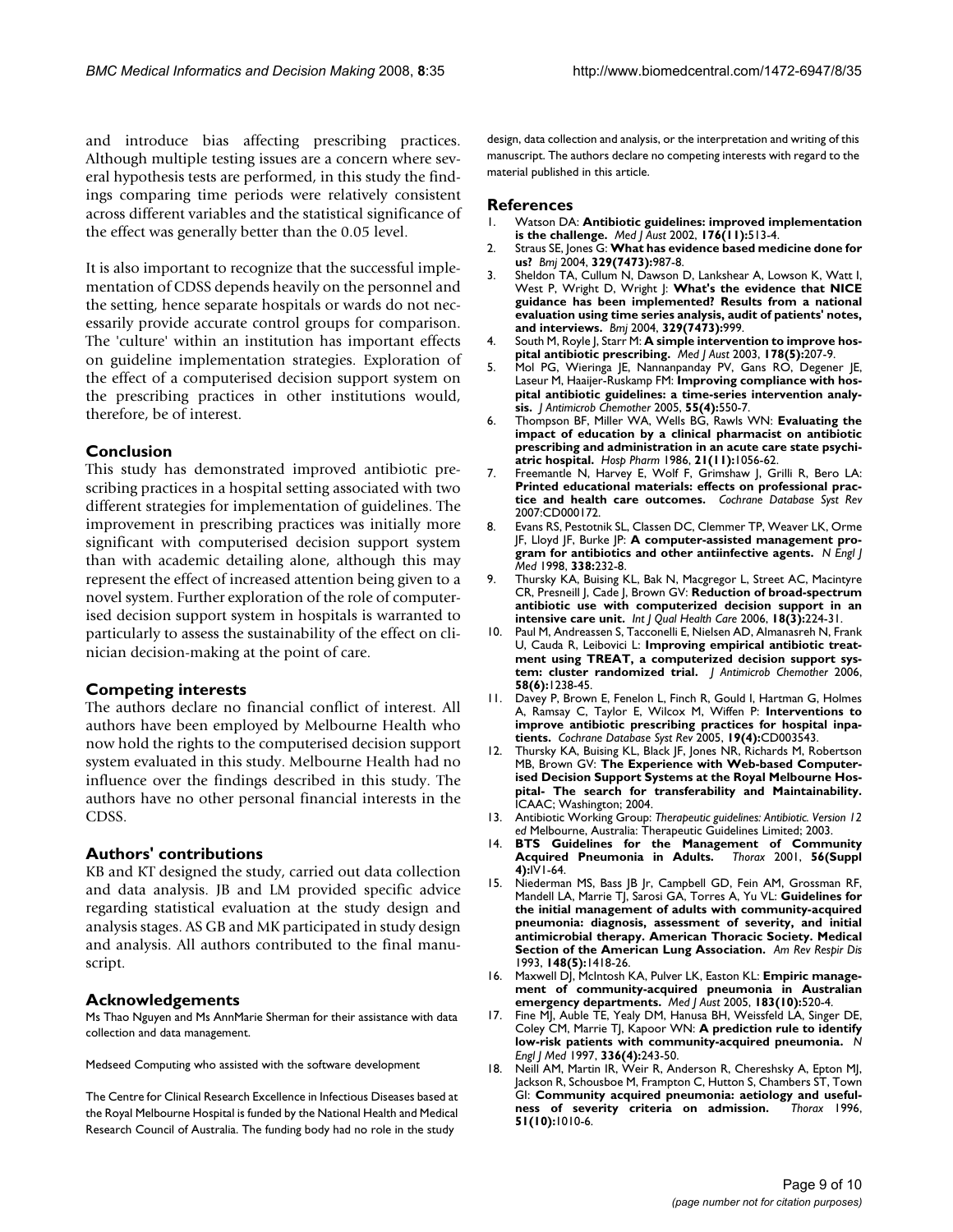and introduce bias affecting prescribing practices. Although multiple testing issues are a concern where several hypothesis tests are performed, in this study the findings comparing time periods were relatively consistent across different variables and the statistical significance of the effect was generally better than the 0.05 level.

It is also important to recognize that the successful implementation of CDSS depends heavily on the personnel and the setting, hence separate hospitals or wards do not necessarily provide accurate control groups for comparison. The 'culture' within an institution has important effects on guideline implementation strategies. Exploration of the effect of a computerised decision support system on the prescribing practices in other institutions would, therefore, be of interest.

# **Conclusion**

This study has demonstrated improved antibiotic prescribing practices in a hospital setting associated with two different strategies for implementation of guidelines. The improvement in prescribing practices was initially more significant with computerised decision support system than with academic detailing alone, although this may represent the effect of increased attention being given to a novel system. Further exploration of the role of computerised decision support system in hospitals is warranted to particularly to assess the sustainability of the effect on clinician decision-making at the point of care.

# **Competing interests**

The authors declare no financial conflict of interest. All authors have been employed by Melbourne Health who now hold the rights to the computerised decision support system evaluated in this study. Melbourne Health had no influence over the findings described in this study. The authors have no other personal financial interests in the CDSS.

# **Authors' contributions**

KB and KT designed the study, carried out data collection and data analysis. JB and LM provided specific advice regarding statistical evaluation at the study design and analysis stages. AS GB and MK participated in study design and analysis. All authors contributed to the final manuscript.

# **Acknowledgements**

Ms Thao Nguyen and Ms AnnMarie Sherman for their assistance with data collection and data management.

Medseed Computing who assisted with the software development

The Centre for Clinical Research Excellence in Infectious Diseases based at the Royal Melbourne Hospital is funded by the National Health and Medical Research Council of Australia. The funding body had no role in the study

design, data collection and analysis, or the interpretation and writing of this manuscript. The authors declare no competing interests with regard to the material published in this article.

#### **References**

- 1. Watson DA: **[Antibiotic guidelines: improved implementation](http://www.ncbi.nlm.nih.gov/entrez/query.fcgi?cmd=Retrieve&db=PubMed&dopt=Abstract&list_uids=12064978) [is the challenge.](http://www.ncbi.nlm.nih.gov/entrez/query.fcgi?cmd=Retrieve&db=PubMed&dopt=Abstract&list_uids=12064978)** *Med J Aust* 2002, **176(11):**513-4.
- 2. Straus SE, Jones G: **[What has evidence based medicine done for](http://www.ncbi.nlm.nih.gov/entrez/query.fcgi?cmd=Retrieve&db=PubMed&dopt=Abstract&list_uids=15514317) [us?](http://www.ncbi.nlm.nih.gov/entrez/query.fcgi?cmd=Retrieve&db=PubMed&dopt=Abstract&list_uids=15514317)** *Bmj* 2004, **329(7473):**987-8.
- 3. Sheldon TA, Cullum N, Dawson D, Lankshear A, Lowson K, Watt I, West P, Wright D, Wright J: **[What's the evidence that NICE](http://www.ncbi.nlm.nih.gov/entrez/query.fcgi?cmd=Retrieve&db=PubMed&dopt=Abstract&list_uids=15514342) [guidance has been implemented? Results from a national](http://www.ncbi.nlm.nih.gov/entrez/query.fcgi?cmd=Retrieve&db=PubMed&dopt=Abstract&list_uids=15514342) evaluation using time series analysis, audit of patients' notes, [and interviews.](http://www.ncbi.nlm.nih.gov/entrez/query.fcgi?cmd=Retrieve&db=PubMed&dopt=Abstract&list_uids=15514342)** *Bmj* 2004, **329(7473):**999.
- 4. South M, Royle J, Starr M: **[A simple intervention to improve hos](http://www.ncbi.nlm.nih.gov/entrez/query.fcgi?cmd=Retrieve&db=PubMed&dopt=Abstract&list_uids=12603182)[pital antibiotic prescribing.](http://www.ncbi.nlm.nih.gov/entrez/query.fcgi?cmd=Retrieve&db=PubMed&dopt=Abstract&list_uids=12603182)** *Med J Aust* 2003, **178(5):**207-9.
- 5. Mol PG, Wieringa JE, Nannanpanday PV, Gans RO, Degener JE, Laseur M, Haaijer-Ruskamp FM: **[Improving compliance with hos](http://www.ncbi.nlm.nih.gov/entrez/query.fcgi?cmd=Retrieve&db=PubMed&dopt=Abstract&list_uids=15728141)[pital antibiotic guidelines: a time-series intervention analy](http://www.ncbi.nlm.nih.gov/entrez/query.fcgi?cmd=Retrieve&db=PubMed&dopt=Abstract&list_uids=15728141)[sis.](http://www.ncbi.nlm.nih.gov/entrez/query.fcgi?cmd=Retrieve&db=PubMed&dopt=Abstract&list_uids=15728141)** *J Antimicrob Chemother* 2005, **55(4):**550-7.
- 6. Thompson BF, Miller WA, Wells BG, Rawls WN: **[Evaluating the](http://www.ncbi.nlm.nih.gov/entrez/query.fcgi?cmd=Retrieve&db=PubMed&dopt=Abstract&list_uids=10279323) [impact of education by a clinical pharmacist on antibiotic](http://www.ncbi.nlm.nih.gov/entrez/query.fcgi?cmd=Retrieve&db=PubMed&dopt=Abstract&list_uids=10279323) prescribing and administration in an acute care state psychi[atric hospital.](http://www.ncbi.nlm.nih.gov/entrez/query.fcgi?cmd=Retrieve&db=PubMed&dopt=Abstract&list_uids=10279323)** *Hosp Pharm* 1986, **21(11):**1056-62.
- 7. Freemantle N, Harvey E, Wolf F, Grimshaw J, Grilli R, Bero LA: **[Printed educational materials: effects on professional prac](http://www.ncbi.nlm.nih.gov/entrez/query.fcgi?cmd=Retrieve&db=PubMed&dopt=Abstract&list_uids=17636612)[tice and health care outcomes.](http://www.ncbi.nlm.nih.gov/entrez/query.fcgi?cmd=Retrieve&db=PubMed&dopt=Abstract&list_uids=17636612)** *Cochrane Database Syst Rev* 2007:CD000172.
- 8. Evans RS, Pestotnik SL, Classen DC, Clemmer TP, Weaver LK, Orme JF, Lloyd JF, Burke JP: **[A computer-assisted management pro](http://www.ncbi.nlm.nih.gov/entrez/query.fcgi?cmd=Retrieve&db=PubMed&dopt=Abstract&list_uids=9435330)[gram for antibiotics and other antiinfective agents.](http://www.ncbi.nlm.nih.gov/entrez/query.fcgi?cmd=Retrieve&db=PubMed&dopt=Abstract&list_uids=9435330)** *N Engl J Med* 1998, **338:**232-8.
- 9. Thursky KA, Buising KL, Bak N, Macgregor L, Street AC, Macintyre CR, Presneill J, Cade J, Brown GV: **[Reduction of broad-spectrum](http://www.ncbi.nlm.nih.gov/entrez/query.fcgi?cmd=Retrieve&db=PubMed&dopt=Abstract&list_uids=16415039) [antibiotic use with computerized decision support in an](http://www.ncbi.nlm.nih.gov/entrez/query.fcgi?cmd=Retrieve&db=PubMed&dopt=Abstract&list_uids=16415039) [intensive care unit.](http://www.ncbi.nlm.nih.gov/entrez/query.fcgi?cmd=Retrieve&db=PubMed&dopt=Abstract&list_uids=16415039)** *Int J Qual Health Care* 2006, **18(3):**224-31.
- 10. Paul M, Andreassen S, Tacconelli E, Nielsen AD, Almanasreh N, Frank U, Cauda R, Leibovici L: **[Improving empirical antibiotic treat](http://www.ncbi.nlm.nih.gov/entrez/query.fcgi?cmd=Retrieve&db=PubMed&dopt=Abstract&list_uids=16998208)[ment using TREAT, a computerized decision support sys](http://www.ncbi.nlm.nih.gov/entrez/query.fcgi?cmd=Retrieve&db=PubMed&dopt=Abstract&list_uids=16998208)[tem: cluster randomized trial.](http://www.ncbi.nlm.nih.gov/entrez/query.fcgi?cmd=Retrieve&db=PubMed&dopt=Abstract&list_uids=16998208)** *J Antimicrob Chemother* 2006, **58(6):**1238-45.
- 11. Davey P, Brown E, Fenelon L, Finch R, Gould I, Hartman G, Holmes A, Ramsay C, Taylor E, Wilcox M, Wiffen P: **[Interventions to](http://www.ncbi.nlm.nih.gov/entrez/query.fcgi?cmd=Retrieve&db=PubMed&dopt=Abstract&list_uids=16235326) [improve antibiotic prescribing practices for hospital inpa](http://www.ncbi.nlm.nih.gov/entrez/query.fcgi?cmd=Retrieve&db=PubMed&dopt=Abstract&list_uids=16235326)[tients.](http://www.ncbi.nlm.nih.gov/entrez/query.fcgi?cmd=Retrieve&db=PubMed&dopt=Abstract&list_uids=16235326)** *Cochrane Database Syst Rev* 2005, **19(4):**CD003543.
- 12. Thursky KA, Buising KL, Black JF, Jones NR, Richards M, Robertson MB, Brown GV: **The Experience with Web-based Computerised Decision Support Systems at the Royal Melbourne Hospital- The search for transferability and Maintainability.** ICAAC; Washington; 2004.
- 13. Antibiotic Working Group: *Therapeutic guidelines: Antibiotic. Version 12 ed* Melbourne, Australia: Therapeutic Guidelines Limited; 2003.
- 14. **[BTS Guidelines for the Management of Community](http://www.ncbi.nlm.nih.gov/entrez/query.fcgi?cmd=Retrieve&db=PubMed&dopt=Abstract&list_uids=11713364) [Acquired Pneumonia in Adults.](http://www.ncbi.nlm.nih.gov/entrez/query.fcgi?cmd=Retrieve&db=PubMed&dopt=Abstract&list_uids=11713364)** *Thorax* 2001, **56(Suppl 4):**IV1-64.
- 15. Niederman MS, Bass JB Jr, Campbell GD, Fein AM, Grossman RF, Mandell LA, Marrie TJ, Sarosi GA, Torres A, Yu VL: **[Guidelines for](http://www.ncbi.nlm.nih.gov/entrez/query.fcgi?cmd=Retrieve&db=PubMed&dopt=Abstract&list_uids=8239186) [the initial management of adults with community-acquired](http://www.ncbi.nlm.nih.gov/entrez/query.fcgi?cmd=Retrieve&db=PubMed&dopt=Abstract&list_uids=8239186) pneumonia: diagnosis, assessment of severity, and initial antimicrobial therapy. American Thoracic Society. Medical [Section of the American Lung Association.](http://www.ncbi.nlm.nih.gov/entrez/query.fcgi?cmd=Retrieve&db=PubMed&dopt=Abstract&list_uids=8239186)** *Am Rev Respir Dis* 1993, **148(5):**1418-26.
- 16. Maxwell DJ, McIntosh KA, Pulver LK, Easton KL: **[Empiric manage](http://www.ncbi.nlm.nih.gov/entrez/query.fcgi?cmd=Retrieve&db=PubMed&dopt=Abstract&list_uids=16296965)[ment of community-acquired pneumonia in Australian](http://www.ncbi.nlm.nih.gov/entrez/query.fcgi?cmd=Retrieve&db=PubMed&dopt=Abstract&list_uids=16296965) [emergency departments.](http://www.ncbi.nlm.nih.gov/entrez/query.fcgi?cmd=Retrieve&db=PubMed&dopt=Abstract&list_uids=16296965)** *Med J Aust* 2005, **183(10):**520-4.
- 17. Fine MJ, Auble TE, Yealy DM, Hanusa BH, Weissfeld LA, Singer DE, Coley CM, Marrie TJ, Kapoor WN: **[A prediction rule to identify](http://www.ncbi.nlm.nih.gov/entrez/query.fcgi?cmd=Retrieve&db=PubMed&dopt=Abstract&list_uids=8995086) [low-risk patients with community-acquired pneumonia.](http://www.ncbi.nlm.nih.gov/entrez/query.fcgi?cmd=Retrieve&db=PubMed&dopt=Abstract&list_uids=8995086)** *N Engl J Med* 1997, **336(4):**243-50.
- 18. Neill AM, Martin IR, Weir R, Anderson R, Chereshsky A, Epton MJ, Jackson R, Schousboe M, Frampton C, Hutton S, Chambers ST, Town GI: **[Community acquired pneumonia: aetiology and useful](http://www.ncbi.nlm.nih.gov/entrez/query.fcgi?cmd=Retrieve&db=PubMed&dopt=Abstract&list_uids=8977602)**[ness of severity criteria on admission.](http://www.ncbi.nlm.nih.gov/entrez/query.fcgi?cmd=Retrieve&db=PubMed&dopt=Abstract&list_uids=8977602) **51(10):**1010-6.